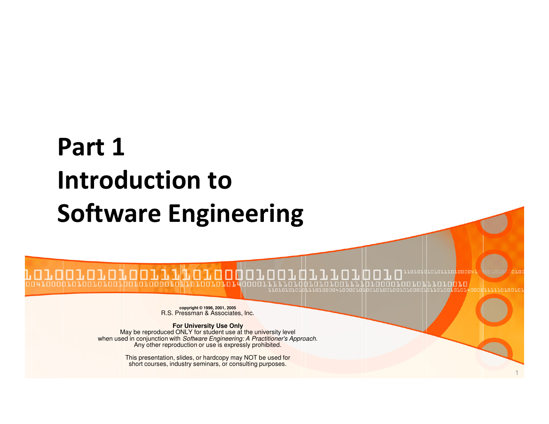# Part 1 Introduction to Software Engineering

**copyright © 1996, 2001, 2005**<br>R.S. Pressman & Associates, Inc.

**For University Use Only**<br>May be reproduced ONLY for student use at the university level<br>when used in conjunction with *Software Engineering: A Practitioner's Approach*.<br>Any other reproduction or use is expressly prohibite

This presentation, slides, or hardcopy may NOT be used forshort courses, industry seminars, or consulting purposes.

1

10101110100004

0010 า.คา.น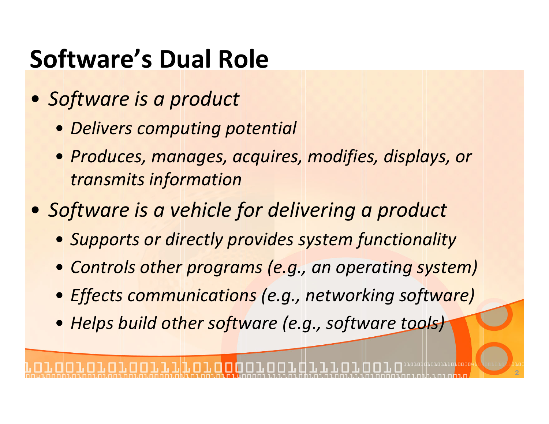# Software's Dual Role

- Software is a product
	- Delivers computing potential
	- Produces, manages, acquires, modifies, displays, or transmits information
- Software is a vehicle for delivering a product
	- Supports or directly provides system functionality
	- Controls other programs (e.g., an operating system)
	- Effects communications (e.g., networking software)
	- Helps build other software (e.g., software tools)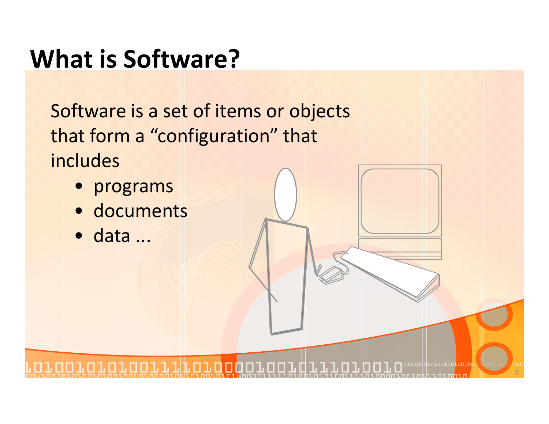#### What is Software?

Software is a set of items or objects that form a "configuration" that includes

- programs
- documents
- data ...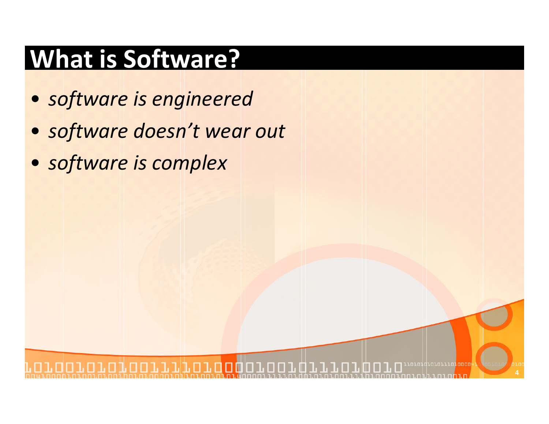# What is Software?

- software is engineered
- software doesn't wear out

**4**

• software is complex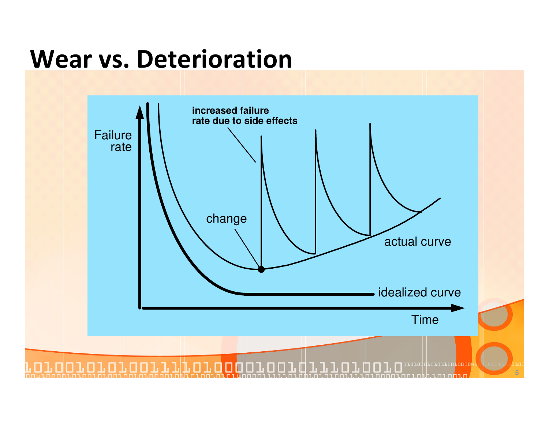#### Wear vs. Deterioration

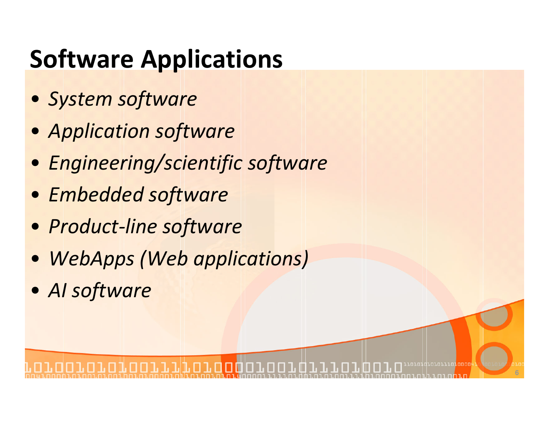# Software Applications

- System software
- Application software
- Engineering/scientific software
- Embedded software
- Product-line software
- WebApps (Web applications)
- AI software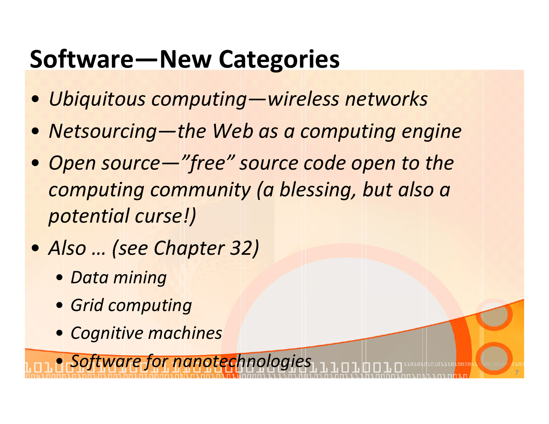# Software—New Categories

- Ubiquitous computing—wireless networks
- Netsourcing—the Web as a computing engine
- Open source—"free" source code open to the computing community (a blessing, but also a potential curse!)
- Also … (see Chapter 32)
	- Data mining
	- Grid computing
	- Cognitive machines

**• Software for nanotechnologies 770707070707070810808108081080810808**0810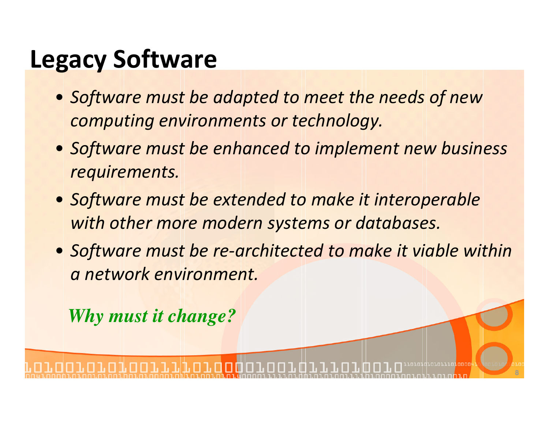#### Legacy Software

- Software must be adapted to meet the needs of new computing environments or technology.
- Software must be enhanced to implement new business requirements.
- Software must be extended to make it interoperable with other more modern systems or databases.
- Software must be re-architected to make it viable within a network environment.

*Why must it change?*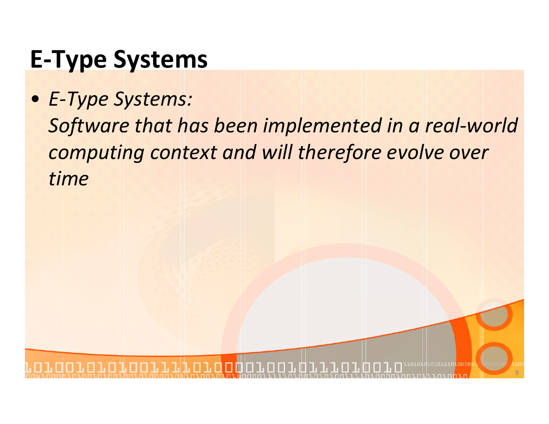# E-Type Systems

• E-Type Systems: Software that has been implemented in a real-world computing context and will therefore evolve over time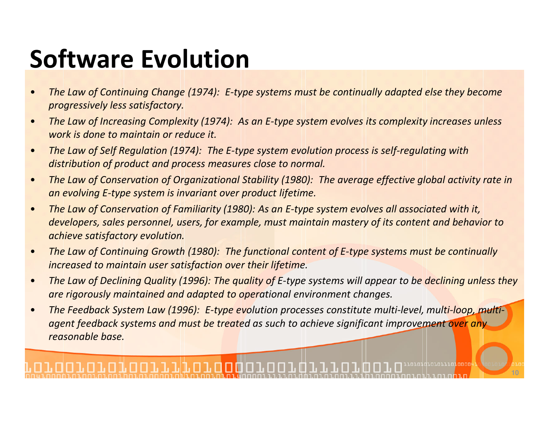# Software Evolution

- • The Law of Continuing Change (1974): E-type systems must be continually adapted else they become progressively less satisfactory.
- • The Law of Increasing Complexity (1974): As an E-type system evolves its complexity increases unless work is done to maintain or reduce it.
- • The Law of Self Regulation (1974): The E-type system evolution process is self-regulating with distribution of product and process measures close to normal.
- • The Law of Conservation of Organizational Stability (1980): The average effective global activity rate in an evolving E-type system is invariant over product lifetime.
- • The Law of Conservation of Familiarity (1980): As an E-type system evolves all associated with it, developers, sales personnel, users, for example, must maintain mastery of its content and behavior to achieve satisfactory evolution.
- • The Law of Continuing Growth (1980): The functional content of E-type systems must be continually increased to maintain user satisfaction over their lifetime.
- • The Law of Declining Quality (1996): The quality of E-type systems will appear to be declining unless they are rigorously maintained and adapted to operational environment changes.

**10**

• The Feedback System Law (1996): E-type evolution processes constitute multi-level, multi-loop, multiagent feedback systems and must be treated as such to achieve significant improvement over any reasonable base.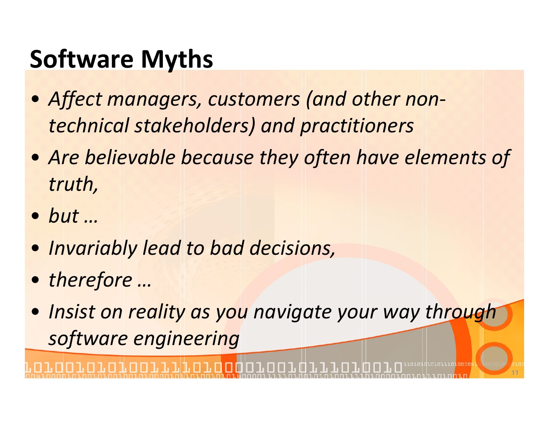# Software Myths

- Affect managers, customers (and other nontechnical stakeholders) and practitioners
- Are believable because they often have elements of truth,
- but …
- Invariably lead to bad decisions,
- therefore …
- Insist on reality as you navigate your way through software engineering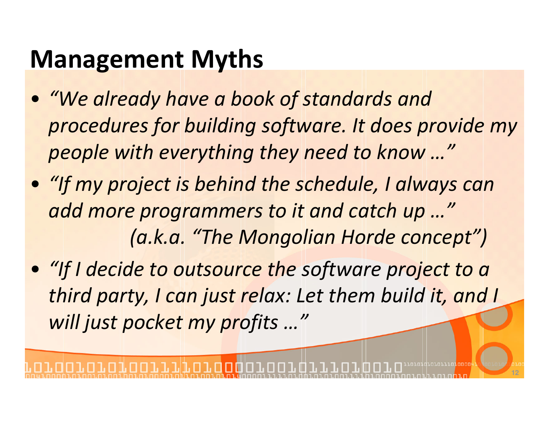#### Management Myths

- "We already have a book of standards and procedures for building software. It does provide my people with everything they need to know …"
- "If my project is behind the schedule, I always canadd more programmers to it and catch up …"(a.k.a. "The Mongolian Horde concept")
- "If I decide to outsource the software project to a third party, I can just relax: Let them build it, and I will just pocket my profits …"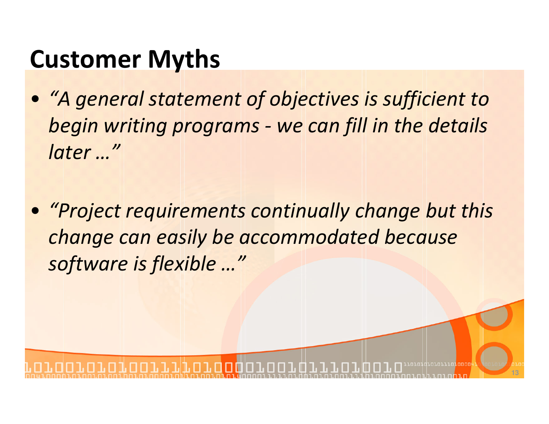## Customer Myths

- "A general statement of objectives is sufficient to begin writing programs - we can fill in the details later …"
- "Project requirements continually change but this change can easily be accommodated because software is flexible …"